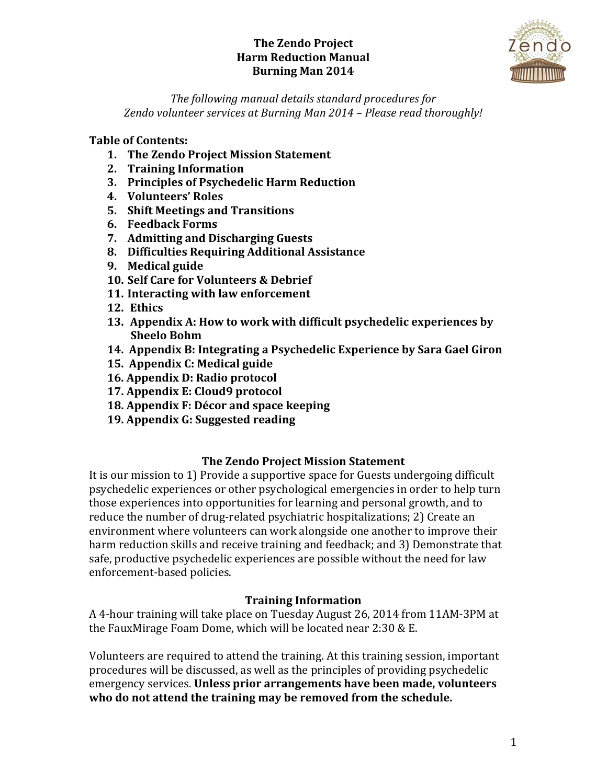

The following manual details standard procedures for *Zendo volunteer services at Burning Man 2014 – Please read thoroughly!*

### **Table of Contents:**

- 1. The Zendo Project Mission Statement
- **2. Training Information**
- **3. Principles of Psychedelic Harm Reduction**
- **4. Volunteers' Roles**
- **5. Shift Meetings and Transitions**
- **6. Feedback Forms**
- **7.** Admitting and Discharging Guests
- **8. Difficulties Requiring Additional Assistance**
- **9. Medical guide**
- **10. Self Care for Volunteers & Debrief**
- **11. Interacting with law enforcement**
- **12. Ethics**
- **13.** Appendix A: How to work with difficult psychedelic experiences by **Sheelo Bohm**
- **14. Appendix B: Integrating a Psychedelic Experience by Sara Gael Giron**
- **15. Appendix C: Medical guide**
- **16. Appendix D: Radio protocol**
- **17. Appendix E: Cloud9 protocol**
- **18.** Appendix F: Décor and space keeping
- **19.** Appendix G: Suggested reading

#### **The Zendo Project Mission Statement**

It is our mission to 1) Provide a supportive space for Guests undergoing difficult psychedelic experiences or other psychological emergencies in order to help turn those experiences into opportunities for learning and personal growth, and to reduce the number of drug-related psychiatric hospitalizations; 2) Create an environment where volunteers can work alongside one another to improve their harm reduction skills and receive training and feedback; and 3) Demonstrate that safe, productive psychedelic experiences are possible without the need for law enforcement-based policies.

#### **Training Information**

A 4-hour training will take place on Tuesday August 26, 2014 from 11AM-3PM at the FauxMirage Foam Dome, which will be located near  $2:30 \& E$ .

Volunteers are required to attend the training. At this training session, important procedures will be discussed, as well as the principles of providing psychedelic emergency services. **Unless prior arrangements have been made, volunteers** who do not attend the training may be removed from the schedule.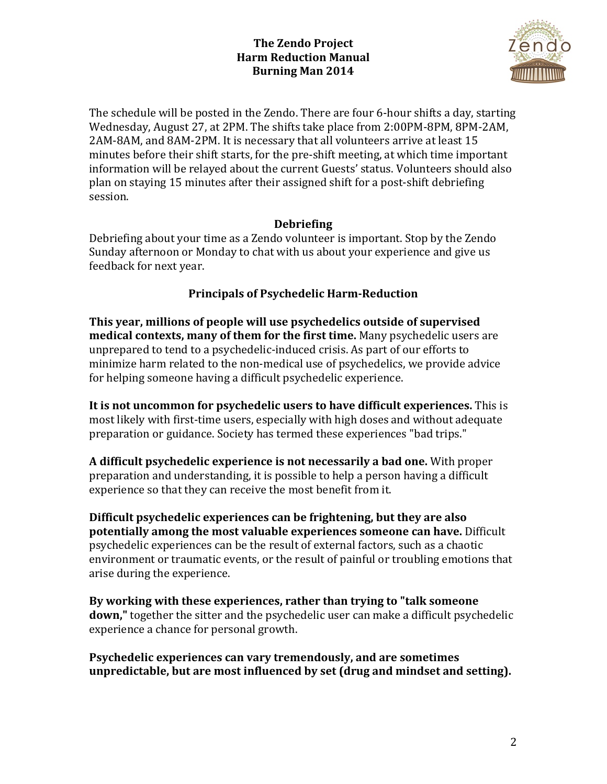

The schedule will be posted in the Zendo. There are four 6-hour shifts a day, starting Wednesday, August 27, at 2PM. The shifts take place from 2:00PM-8PM, 8PM-2AM, 2AM-8AM, and 8AM-2PM. It is necessary that all volunteers arrive at least 15 minutes before their shift starts, for the pre-shift meeting, at which time important information will be relayed about the current Guests' status. Volunteers should also plan on staying 15 minutes after their assigned shift for a post-shift debriefing session.

## **Debriefing**

Debriefing about your time as a Zendo volunteer is important. Stop by the Zendo Sunday afternoon or Monday to chat with us about your experience and give us feedback for next year.

# **Principals of Psychedelic Harm-Reduction**

This year, millions of people will use psychedelics outside of supervised **medical contexts, many of them for the first time.** Many psychedelic users are unprepared to tend to a psychedelic-induced crisis. As part of our efforts to minimize harm related to the non-medical use of psychedelics, we provide advice for helping someone having a difficult psychedelic experience.

**It is not uncommon for psychedelic users to have difficult experiences.** This is most likely with first-time users, especially with high doses and without adequate preparation or guidance. Society has termed these experiences "bad trips."

**A** difficult psychedelic experience is not necessarily a bad one. With proper preparation and understanding, it is possible to help a person having a difficult experience so that they can receive the most benefit from it.

Difficult psychedelic experiences can be frightening, but they are also **potentially among the most valuable experiences someone can have.** Difficult psychedelic experiences can be the result of external factors, such as a chaotic environment or traumatic events, or the result of painful or troubling emotions that arise during the experience.

By working with these experiences, rather than trying to "talk someone" **down,"** together the sitter and the psychedelic user can make a difficult psychedelic experience a chance for personal growth.

**Psychedelic experiences can vary tremendously, and are sometimes** unpredictable, but are most influenced by set (drug and mindset and setting).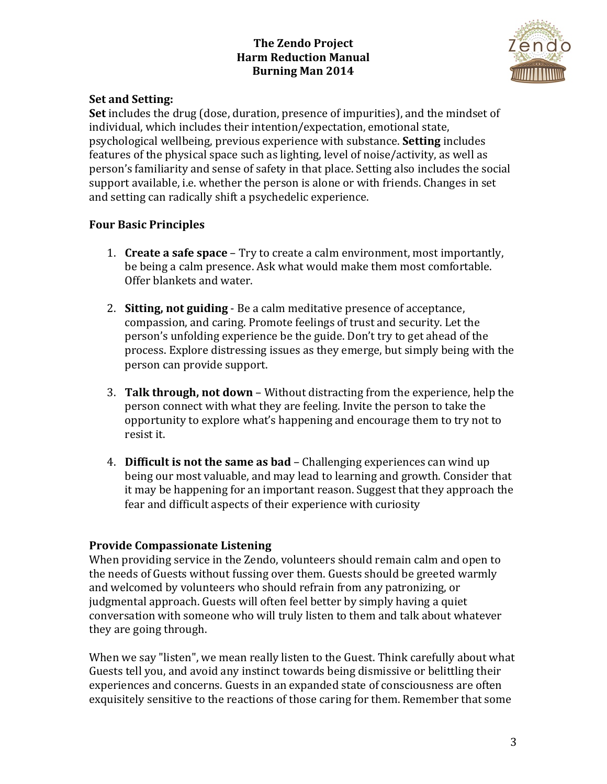

### **Set and Setting:**

**Set** includes the drug (dose, duration, presence of impurities), and the mindset of individual, which includes their intention/expectation, emotional state, psychological wellbeing, previous experience with substance. **Setting** includes features of the physical space such as lighting, level of noise/activity, as well as person's familiarity and sense of safety in that place. Setting also includes the social support available, i.e. whether the person is alone or with friends. Changes in set and setting can radically shift a psychedelic experience.

### **Four Basic Principles**

- 1. **Create a safe space** Try to create a calm environment, most importantly, be being a calm presence. Ask what would make them most comfortable. Offer blankets and water.
- 2. **Sitting, not guiding** Be a calm meditative presence of acceptance, compassion, and caring. Promote feelings of trust and security. Let the person's unfolding experience be the guide. Don't try to get ahead of the process. Explore distressing issues as they emerge, but simply being with the person can provide support.
- 3. **Talk through, not down** Without distracting from the experience, help the person connect with what they are feeling. Invite the person to take the opportunity to explore what's happening and encourage them to try not to resist it.
- 4. **Difficult is not the same as bad** Challenging experiences can wind up being our most valuable, and may lead to learning and growth. Consider that it may be happening for an important reason. Suggest that they approach the fear and difficult aspects of their experience with curiosity

#### **Provide Compassionate Listening**

When providing service in the Zendo, volunteers should remain calm and open to the needs of Guests without fussing over them. Guests should be greeted warmly and welcomed by volunteers who should refrain from any patronizing, or judgmental approach. Guests will often feel better by simply having a quiet conversation with someone who will truly listen to them and talk about whatever they are going through.

When we say "listen", we mean really listen to the Guest. Think carefully about what Guests tell you, and avoid any instinct towards being dismissive or belittling their experiences and concerns. Guests in an expanded state of consciousness are often exquisitely sensitive to the reactions of those caring for them. Remember that some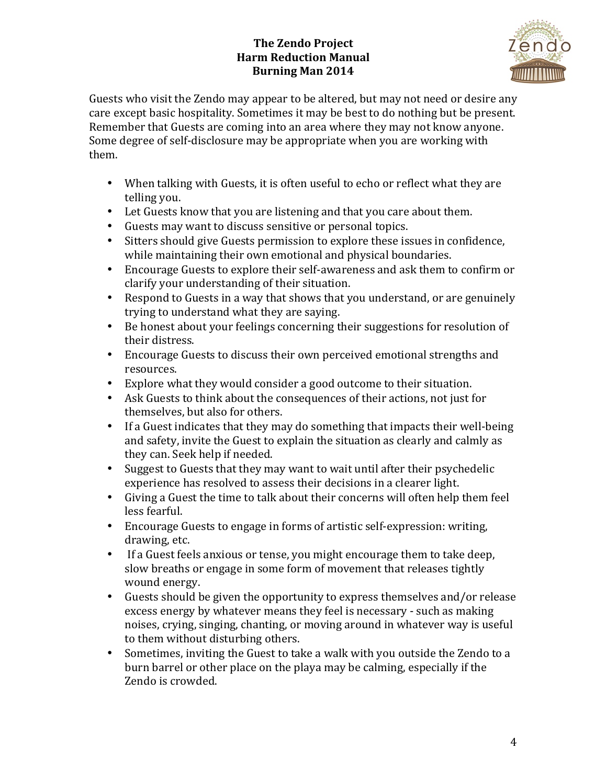

Guests who visit the Zendo may appear to be altered, but may not need or desire any care except basic hospitality. Sometimes it may be best to do nothing but be present. Remember that Guests are coming into an area where they may not know anyone. Some degree of self-disclosure may be appropriate when you are working with them. 

- When talking with Guests, it is often useful to echo or reflect what they are telling you.
- Let Guests know that you are listening and that you care about them.
- Guests may want to discuss sensitive or personal topics.
- Sitters should give Guests permission to explore these issues in confidence, while maintaining their own emotional and physical boundaries.
- Encourage Guests to explore their self-awareness and ask them to confirm or clarify your understanding of their situation.
- Respond to Guests in a way that shows that you understand, or are genuinely trying to understand what they are saying.
- Be honest about your feelings concerning their suggestions for resolution of their distress.
- Encourage Guests to discuss their own perceived emotional strengths and resources.
- Explore what they would consider a good outcome to their situation.
- Ask Guests to think about the consequences of their actions, not just for themselves, but also for others.
- If a Guest indicates that they may do something that impacts their well-being and safety, invite the Guest to explain the situation as clearly and calmly as they can. Seek help if needed.
- Suggest to Guests that they may want to wait until after their psychedelic experience has resolved to assess their decisions in a clearer light.
- Giving a Guest the time to talk about their concerns will often help them feel less fearful.
- Encourage Guests to engage in forms of artistic self-expression: writing, drawing, etc.
- If a Guest feels anxious or tense, you might encourage them to take deep, slow breaths or engage in some form of movement that releases tightly wound energy.
- Guests should be given the opportunity to express themselves and/or release excess energy by whatever means they feel is necessary - such as making noises, crying, singing, chanting, or moving around in whatever way is useful to them without disturbing others.
- Sometimes, inviting the Guest to take a walk with you outside the Zendo to a burn barrel or other place on the playa may be calming, especially if the Zendo is crowded.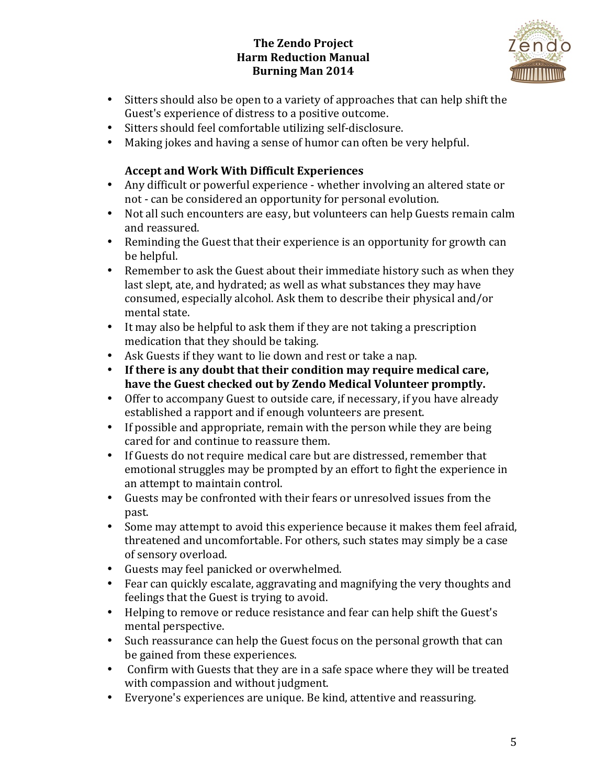

- Sitters should also be open to a variety of approaches that can help shift the Guest's experience of distress to a positive outcome.
- Sitters should feel comfortable utilizing self-disclosure.
- Making jokes and having a sense of humor can often be very helpful.

# **Accept and Work With Difficult Experiences**

- Any difficult or powerful experience whether involving an altered state or not - can be considered an opportunity for personal evolution.
- Not all such encounters are easy, but volunteers can help Guests remain calm and reassured.
- Reminding the Guest that their experience is an opportunity for growth can be helpful.
- Remember to ask the Guest about their immediate history such as when they last slept, ate, and hydrated; as well as what substances they may have consumed, especially alcohol. Ask them to describe their physical and/or mental state.
- It may also be helpful to ask them if they are not taking a prescription medication that they should be taking.
- Ask Guests if they want to lie down and rest or take a nap.
- If there is any doubt that their condition may require medical care, have the Guest checked out by Zendo Medical Volunteer promptly.
- Offer to accompany Guest to outside care, if necessary, if you have already established a rapport and if enough volunteers are present.
- If possible and appropriate, remain with the person while they are being cared for and continue to reassure them.
- If Guests do not require medical care but are distressed, remember that emotional struggles may be prompted by an effort to fight the experience in an attempt to maintain control.
- Guests may be confronted with their fears or unresolved issues from the past.
- Some may attempt to avoid this experience because it makes them feel afraid, threatened and uncomfortable. For others, such states may simply be a case of sensory overload.
- Guests may feel panicked or overwhelmed.
- Fear can quickly escalate, aggravating and magnifying the very thoughts and feelings that the Guest is trying to avoid.
- Helping to remove or reduce resistance and fear can help shift the Guest's mental perspective.
- Such reassurance can help the Guest focus on the personal growth that can be gained from these experiences.
- Confirm with Guests that they are in a safe space where they will be treated with compassion and without judgment.
- Everyone's experiences are unique. Be kind, attentive and reassuring.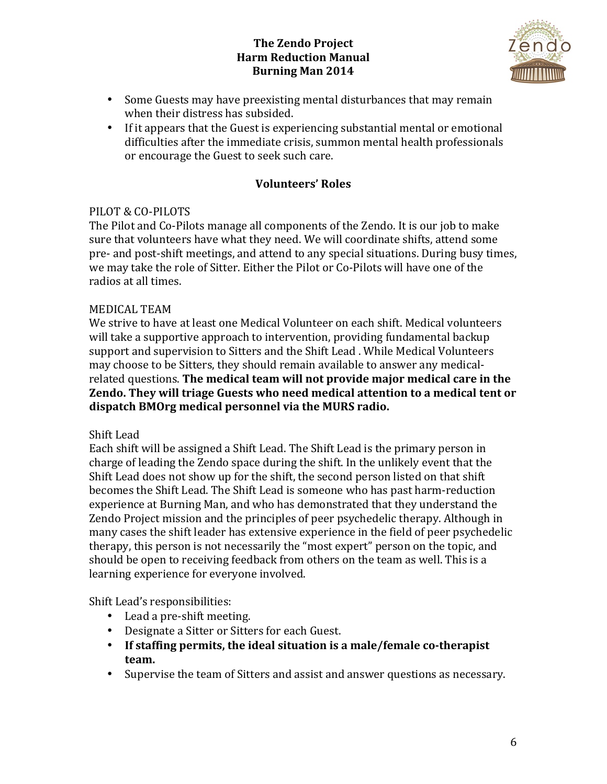

- Some Guests may have preexisting mental disturbances that may remain when their distress has subsided.
- If it appears that the Guest is experiencing substantial mental or emotional difficulties after the immediate crisis, summon mental health professionals or encourage the Guest to seek such care.

# **Volunteers' Roles**

## PILOT & CO-PILOTS

The Pilot and Co-Pilots manage all components of the Zendo. It is our job to make sure that volunteers have what they need. We will coordinate shifts, attend some pre- and post-shift meetings, and attend to any special situations. During busy times, we may take the role of Sitter. Either the Pilot or Co-Pilots will have one of the radios at all times.

## **MEDICAL TEAM**

We strive to have at least one Medical Volunteer on each shift. Medical volunteers will take a supportive approach to intervention, providing fundamental backup support and supervision to Sitters and the Shift Lead. While Medical Volunteers may choose to be Sitters, they should remain available to answer any medicalrelated questions. The medical team will not provide major medical care in the **Zendo.** They will triage Guests who need medical attention to a medical tent or dispatch BMOrg medical personnel via the MURS radio.

## Shift Lead

Each shift will be assigned a Shift Lead. The Shift Lead is the primary person in charge of leading the Zendo space during the shift. In the unlikely event that the Shift Lead does not show up for the shift, the second person listed on that shift becomes the Shift Lead. The Shift Lead is someone who has past harm-reduction experience at Burning Man, and who has demonstrated that they understand the Zendo Project mission and the principles of peer psychedelic therapy. Although in many cases the shift leader has extensive experience in the field of peer psychedelic therapy, this person is not necessarily the "most expert" person on the topic, and should be open to receiving feedback from others on the team as well. This is a learning experience for everyone involved.

Shift Lead's responsibilities:

- Lead a pre-shift meeting.
- Designate a Sitter or Sitters for each Guest.
- If staffing permits, the ideal situation is a male/female co-therapist **team.**
- Supervise the team of Sitters and assist and answer questions as necessary.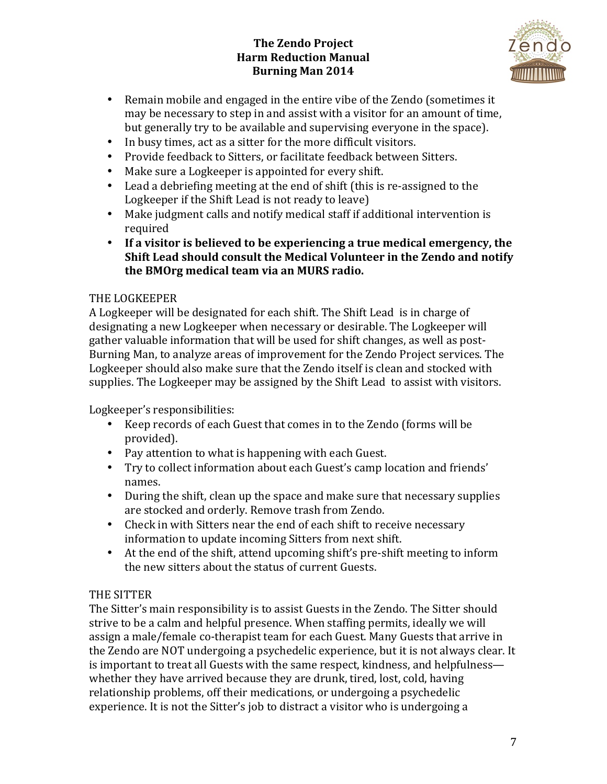

- Remain mobile and engaged in the entire vibe of the Zendo (sometimes it may be necessary to step in and assist with a visitor for an amount of time, but generally try to be available and supervising everyone in the space).
- In busy times, act as a sitter for the more difficult visitors.
- Provide feedback to Sitters, or facilitate feedback between Sitters.
- Make sure a Logkeeper is appointed for every shift.
- Lead a debriefing meeting at the end of shift (this is re-assigned to the Logkeeper if the Shift Lead is not ready to leave)
- Make judgment calls and notify medical staff if additional intervention is required
- If a visitor is believed to be experiencing a true medical emergency, the **Shift Lead should consult the Medical Volunteer in the Zendo and notify the BMOrg medical team via an MURS radio.**

## THE LOGKEEPER

A Logkeeper will be designated for each shift. The Shift Lead is in charge of designating a new Logkeeper when necessary or desirable. The Logkeeper will gather valuable information that will be used for shift changes, as well as post-Burning Man, to analyze areas of improvement for the Zendo Project services. The Logkeeper should also make sure that the Zendo itself is clean and stocked with supplies. The Logkeeper may be assigned by the Shift Lead to assist with visitors.

Logkeeper's responsibilities:

- Keep records of each Guest that comes in to the Zendo (forms will be provided).
- Pay attention to what is happening with each Guest.
- Try to collect information about each Guest's camp location and friends' names.
- During the shift, clean up the space and make sure that necessary supplies are stocked and orderly. Remove trash from Zendo.
- Check in with Sitters near the end of each shift to receive necessary information to update incoming Sitters from next shift.
- At the end of the shift, attend upcoming shift's pre-shift meeting to inform the new sitters about the status of current Guests.

# THE SITTER

The Sitter's main responsibility is to assist Guests in the Zendo. The Sitter should strive to be a calm and helpful presence. When staffing permits, ideally we will assign a male/female co-therapist team for each Guest. Many Guests that arrive in the Zendo are NOT undergoing a psychedelic experience, but it is not always clear. It is important to treat all Guests with the same respect, kindness, and helpfulness whether they have arrived because they are drunk, tired, lost, cold, having relationship problems, off their medications, or undergoing a psychedelic experience. It is not the Sitter's job to distract a visitor who is undergoing a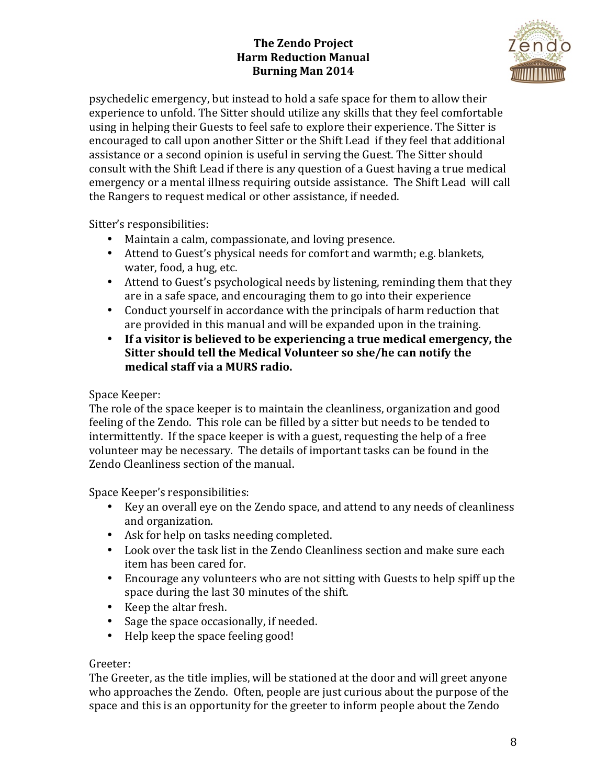

psychedelic emergency, but instead to hold a safe space for them to allow their experience to unfold. The Sitter should utilize any skills that they feel comfortable using in helping their Guests to feel safe to explore their experience. The Sitter is encouraged to call upon another Sitter or the Shift Lead if they feel that additional assistance or a second opinion is useful in serving the Guest. The Sitter should consult with the Shift Lead if there is any question of a Guest having a true medical emergency or a mental illness requiring outside assistance. The Shift Lead will call the Rangers to request medical or other assistance, if needed.

Sitter's responsibilities:

- Maintain a calm, compassionate, and loving presence.
- Attend to Guest's physical needs for comfort and warmth; e.g. blankets, water, food, a hug, etc.
- Attend to Guest's psychological needs by listening, reminding them that they are in a safe space, and encouraging them to go into their experience
- Conduct yourself in accordance with the principals of harm reduction that are provided in this manual and will be expanded upon in the training.
- If a visitor is believed to be experiencing a true medical emergency, the Sitter should tell the Medical Volunteer so she/he can notify the **medical staff via a MURS radio.**

Space Keeper:

The role of the space keeper is to maintain the cleanliness, organization and good feeling of the Zendo. This role can be filled by a sitter but needs to be tended to intermittently. If the space keeper is with a guest, requesting the help of a free volunteer may be necessary. The details of important tasks can be found in the Zendo Cleanliness section of the manual.

Space Keeper's responsibilities:

- Key an overall eye on the Zendo space, and attend to any needs of cleanliness and organization.
- Ask for help on tasks needing completed.
- Look over the task list in the Zendo Cleanliness section and make sure each item has been cared for.
- Encourage any volunteers who are not sitting with Guests to help spiff up the space during the last 30 minutes of the shift.
- Keep the altar fresh.
- Sage the space occasionally, if needed.
- Help keep the space feeling good!

## Greeter:

The Greeter, as the title implies, will be stationed at the door and will greet anyone who approaches the Zendo. Often, people are just curious about the purpose of the space and this is an opportunity for the greeter to inform people about the Zendo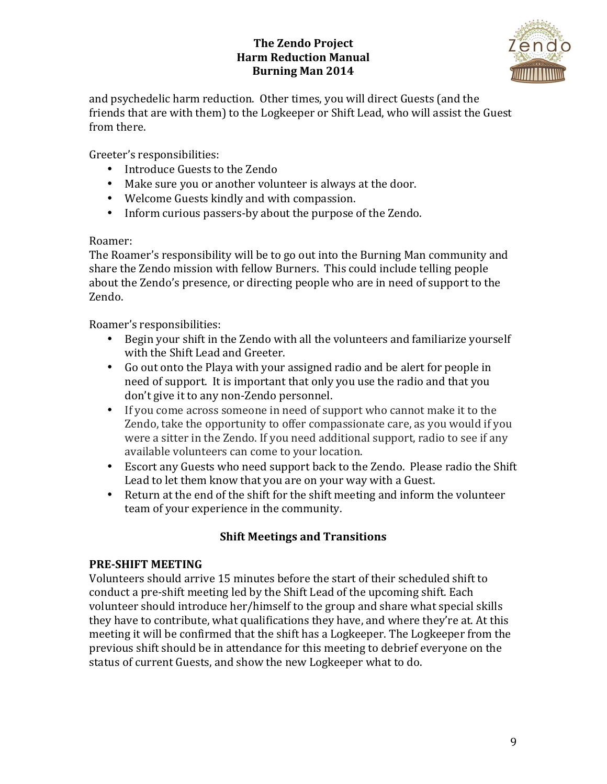

and psychedelic harm reduction. Other times, you will direct Guests (and the friends that are with them) to the Logkeeper or Shift Lead, who will assist the Guest from there.

Greeter's responsibilities:

- Introduce Guests to the Zendo
- Make sure you or another volunteer is always at the door.
- Welcome Guests kindly and with compassion.
- Inform curious passers-by about the purpose of the Zendo.

# Roamer:

The Roamer's responsibility will be to go out into the Burning Man community and share the Zendo mission with fellow Burners. This could include telling people about the Zendo's presence, or directing people who are in need of support to the Zendo. 

Roamer's responsibilities:

- Begin your shift in the Zendo with all the volunteers and familiarize yourself with the Shift Lead and Greeter.
- Go out onto the Playa with your assigned radio and be alert for people in need of support. It is important that only you use the radio and that you don't give it to any non-Zendo personnel.
- If you come across someone in need of support who cannot make it to the Zendo, take the opportunity to offer compassionate care, as you would if you were a sitter in the Zendo. If you need additional support, radio to see if any available volunteers can come to your location.
- Escort any Guests who need support back to the Zendo. Please radio the Shift Lead to let them know that you are on your way with a Guest.
- Return at the end of the shift for the shift meeting and inform the volunteer team of your experience in the community.

# **Shift Meetings and Transitions**

# **PRE-SHIFT MEETING**

Volunteers should arrive 15 minutes before the start of their scheduled shift to conduct a pre-shift meeting led by the Shift Lead of the upcoming shift. Each volunteer should introduce her/himself to the group and share what special skills they have to contribute, what qualifications they have, and where they're at. At this meeting it will be confirmed that the shift has a Logkeeper. The Logkeeper from the previous shift should be in attendance for this meeting to debrief everyone on the status of current Guests, and show the new Logkeeper what to do.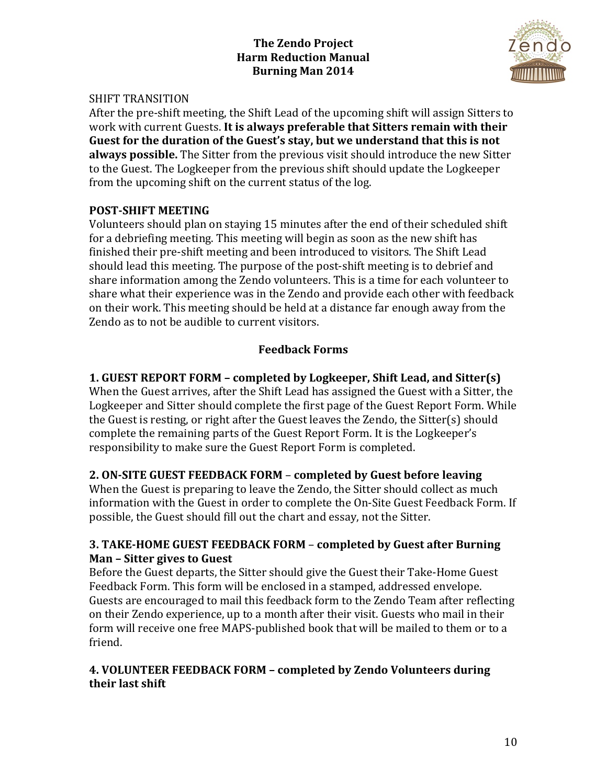

### SHIFT TRANSITION

After the pre-shift meeting, the Shift Lead of the upcoming shift will assign Sitters to work with current Guests. It is always preferable that Sitters remain with their Guest for the duration of the Guest's stay, but we understand that this is not **always possible.** The Sitter from the previous visit should introduce the new Sitter to the Guest. The Logkeeper from the previous shift should update the Logkeeper from the upcoming shift on the current status of the log.

## **POST-SHIFT MEETING**

Volunteers should plan on staying 15 minutes after the end of their scheduled shift for a debriefing meeting. This meeting will begin as soon as the new shift has finished their pre-shift meeting and been introduced to visitors. The Shift Lead should lead this meeting. The purpose of the post-shift meeting is to debrief and share information among the Zendo volunteers. This is a time for each volunteer to share what their experience was in the Zendo and provide each other with feedback on their work. This meeting should be held at a distance far enough away from the Zendo as to not be audible to current visitors.

## **Feedback Forms**

## **1. GUEST REPORT FORM – completed by Logkeeper, Shift Lead, and Sitter(s)**

When the Guest arrives, after the Shift Lead has assigned the Guest with a Sitter, the Logkeeper and Sitter should complete the first page of the Guest Report Form. While the Guest is resting, or right after the Guest leaves the Zendo, the Sitter(s) should complete the remaining parts of the Guest Report Form. It is the Logkeeper's responsibility to make sure the Guest Report Form is completed.

## **2. ON-SITE GUEST FEEDBACK FORM – completed by Guest before leaving**

When the Guest is preparing to leave the Zendo, the Sitter should collect as much information with the Guest in order to complete the On-Site Guest Feedback Form. If possible, the Guest should fill out the chart and essay, not the Sitter.

### **3. TAKE-HOME GUEST FEEDBACK FORM – completed by Guest after Burning Man - Sitter gives to Guest**

Before the Guest departs, the Sitter should give the Guest their Take-Home Guest Feedback Form. This form will be enclosed in a stamped, addressed envelope. Guests are encouraged to mail this feedback form to the Zendo Team after reflecting on their Zendo experience, up to a month after their visit. Guests who mail in their form will receive one free MAPS-published book that will be mailed to them or to a friend. 

### **4. VOLUNTEER FEEDBACK FORM – completed by Zendo Volunteers during their last shift**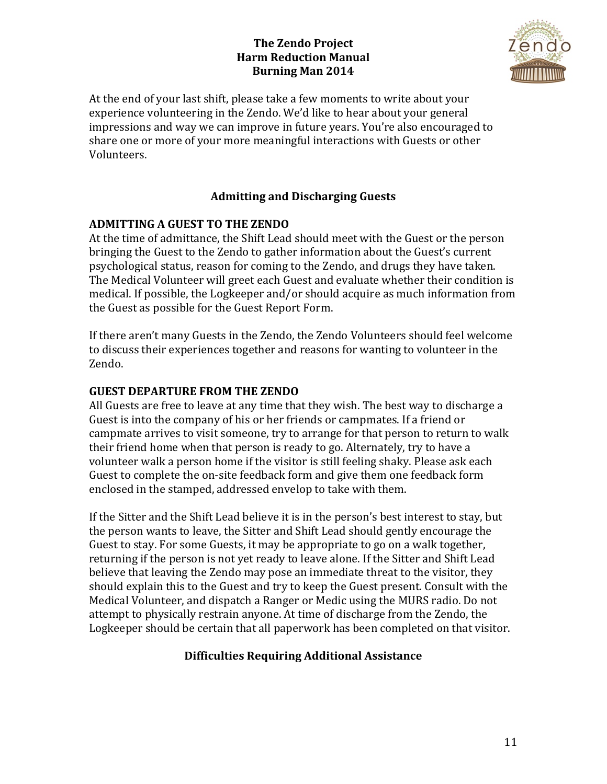

At the end of your last shift, please take a few moments to write about your experience volunteering in the Zendo. We'd like to hear about your general impressions and way we can improve in future years. You're also encouraged to share one or more of your more meaningful interactions with Guests or other Volunteers. 

# **Admitting and Discharging Guests**

### **ADMITTING A GUEST TO THE ZENDO**

At the time of admittance, the Shift Lead should meet with the Guest or the person bringing the Guest to the Zendo to gather information about the Guest's current psychological status, reason for coming to the Zendo, and drugs they have taken. The Medical Volunteer will greet each Guest and evaluate whether their condition is medical. If possible, the Logkeeper and/or should acquire as much information from the Guest as possible for the Guest Report Form.

If there aren't many Guests in the Zendo, the Zendo Volunteers should feel welcome to discuss their experiences together and reasons for wanting to volunteer in the Zendo. 

### **GUEST DEPARTURE FROM THE ZENDO**

All Guests are free to leave at any time that they wish. The best way to discharge a Guest is into the company of his or her friends or campmates. If a friend or campmate arrives to visit someone, try to arrange for that person to return to walk their friend home when that person is ready to go. Alternately, try to have a volunteer walk a person home if the visitor is still feeling shaky. Please ask each Guest to complete the on-site feedback form and give them one feedback form enclosed in the stamped, addressed envelop to take with them.

If the Sitter and the Shift Lead believe it is in the person's best interest to stay, but the person wants to leave, the Sitter and Shift Lead should gently encourage the Guest to stay. For some Guests, it may be appropriate to go on a walk together, returning if the person is not yet ready to leave alone. If the Sitter and Shift Lead believe that leaving the Zendo may pose an immediate threat to the visitor, they should explain this to the Guest and try to keep the Guest present. Consult with the Medical Volunteer, and dispatch a Ranger or Medic using the MURS radio. Do not attempt to physically restrain anyone. At time of discharge from the Zendo, the Logkeeper should be certain that all paperwork has been completed on that visitor.

## **Difficulties Requiring Additional Assistance**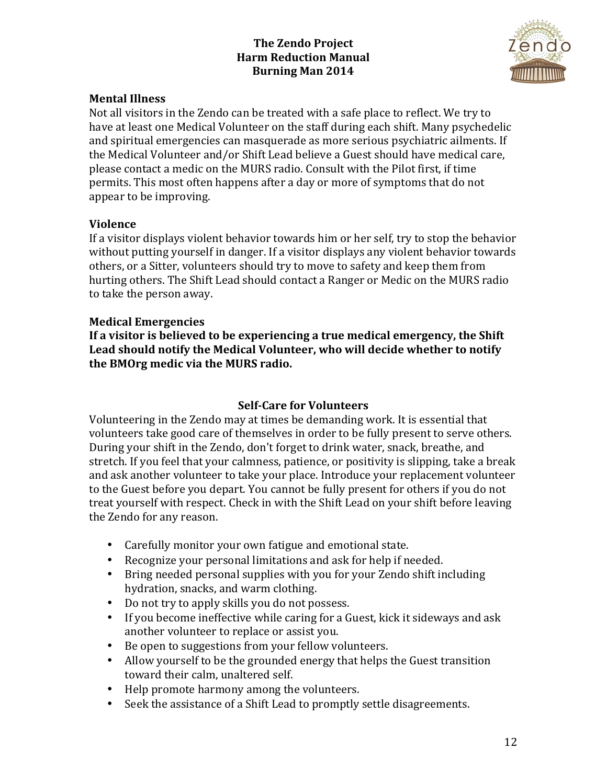

#### **Mental Illness**

Not all visitors in the Zendo can be treated with a safe place to reflect. We try to have at least one Medical Volunteer on the staff during each shift. Many psychedelic and spiritual emergencies can masquerade as more serious psychiatric ailments. If the Medical Volunteer and/or Shift Lead believe a Guest should have medical care, please contact a medic on the MURS radio. Consult with the Pilot first, if time permits. This most often happens after a day or more of symptoms that do not appear to be improving.

#### **Violence**

If a visitor displays violent behavior towards him or her self, try to stop the behavior without putting yourself in danger. If a visitor displays any violent behavior towards others, or a Sitter, volunteers should try to move to safety and keep them from hurting others. The Shift Lead should contact a Ranger or Medic on the MURS radio to take the person away.

### **Medical Emergencies**

If a visitor is believed to be experiencing a true medical emergency, the Shift Lead should notify the Medical Volunteer, who will decide whether to notify **the BMOrg medic via the MURS radio.** 

## **Self-Care for Volunteers**

Volunteering in the Zendo may at times be demanding work. It is essential that volunteers take good care of themselves in order to be fully present to serve others. During your shift in the Zendo, don't forget to drink water, snack, breathe, and stretch. If you feel that your calmness, patience, or positivity is slipping, take a break and ask another volunteer to take your place. Introduce your replacement volunteer to the Guest before you depart. You cannot be fully present for others if you do not treat yourself with respect. Check in with the Shift Lead on your shift before leaving the Zendo for any reason.

- Carefully monitor your own fatigue and emotional state.
- Recognize your personal limitations and ask for help if needed.
- Bring needed personal supplies with you for your Zendo shift including hydration, snacks, and warm clothing.
- Do not try to apply skills you do not possess.
- If you become ineffective while caring for a Guest, kick it sideways and ask another volunteer to replace or assist you.
- Be open to suggestions from your fellow volunteers.
- Allow yourself to be the grounded energy that helps the Guest transition toward their calm, unaltered self.
- Help promote harmony among the volunteers.
- Seek the assistance of a Shift Lead to promptly settle disagreements.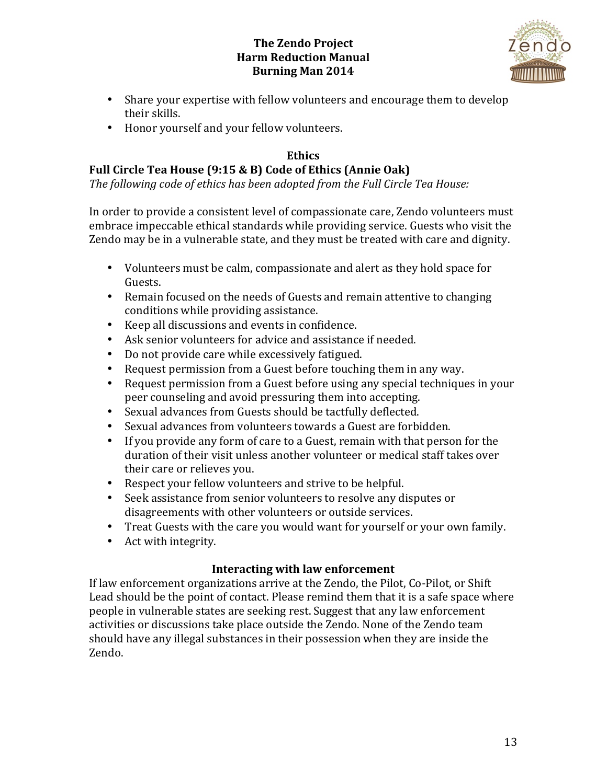

- Share your expertise with fellow volunteers and encourage them to develop their skills.
- Honor yourself and your fellow volunteers.

# **Ethics**

# Full Circle Tea House (9:15 & B) Code of Ethics (Annie Oak)

The following code of ethics has been adopted from the Full Circle Tea House:

In order to provide a consistent level of compassionate care, Zendo volunteers must embrace impeccable ethical standards while providing service. Guests who visit the Zendo may be in a vulnerable state, and they must be treated with care and dignity.

- Volunteers must be calm, compassionate and alert as they hold space for Guests.
- Remain focused on the needs of Guests and remain attentive to changing conditions while providing assistance.
- Keep all discussions and events in confidence.
- Ask senior volunteers for advice and assistance if needed.
- Do not provide care while excessively fatigued.
- Request permission from a Guest before touching them in any way.
- Request permission from a Guest before using any special techniques in your peer counseling and avoid pressuring them into accepting.
- Sexual advances from Guests should be tactfully deflected.
- Sexual advances from volunteers towards a Guest are forbidden.
- If you provide any form of care to a Guest, remain with that person for the duration of their visit unless another volunteer or medical staff takes over their care or relieves you.
- Respect your fellow volunteers and strive to be helpful.
- Seek assistance from senior volunteers to resolve any disputes or disagreements with other volunteers or outside services.
- Treat Guests with the care you would want for yourself or your own family.
- Act with integrity.

# **Interacting with law enforcement**

If law enforcement organizations arrive at the Zendo, the Pilot, Co-Pilot, or Shift Lead should be the point of contact. Please remind them that it is a safe space where people in vulnerable states are seeking rest. Suggest that any law enforcement activities or discussions take place outside the Zendo. None of the Zendo team should have any illegal substances in their possession when they are inside the Zendo.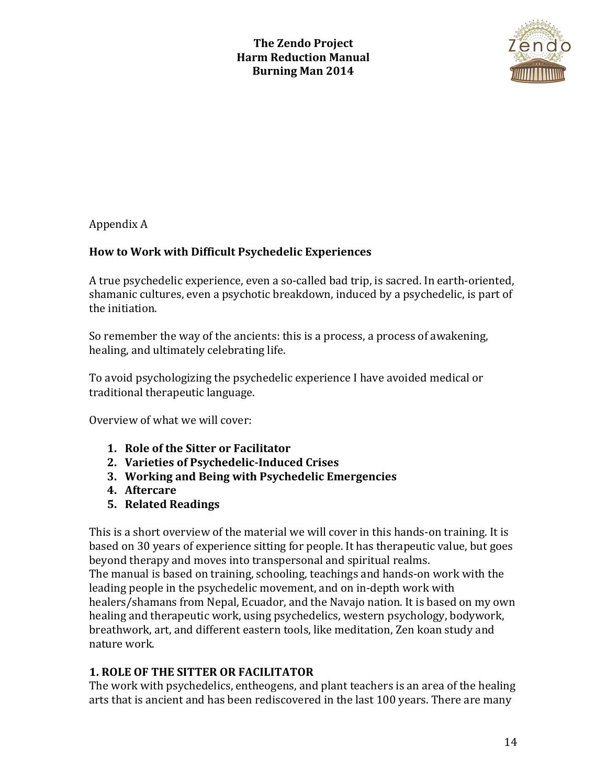

Appendix A 

## **How to Work with Difficult Psychedelic Experiences**

A true psychedelic experience, even a so-called bad trip, is sacred. In earth-oriented, shamanic cultures, even a psychotic breakdown, induced by a psychedelic, is part of the initiation.

So remember the way of the ancients: this is a process, a process of awakening, healing, and ultimately celebrating life.

To avoid psychologizing the psychedelic experience I have avoided medical or traditional therapeutic language.

Overview of what we will cover:

- **1. Role of the Sitter or Facilitator**
- **2. Varieties of Psychedelic-Induced Crises**
- **3. Working and Being with Psychedelic Emergencies**
- **4. Aftercare**
- **5. Related Readings**

This is a short overview of the material we will cover in this hands-on training. It is based on 30 years of experience sitting for people. It has therapeutic value, but goes beyond therapy and moves into transpersonal and spiritual realms. The manual is based on training, schooling, teachings and hands-on work with the leading people in the psychedelic movement, and on in-depth work with healers/shamans from Nepal, Ecuador, and the Navajo nation. It is based on my own healing and therapeutic work, using psychedelics, western psychology, bodywork, breathwork, art, and different eastern tools, like meditation, Zen koan study and nature work.

# **1. ROLE OF THE SITTER OR FACILITATOR**

The work with psychedelics, entheogens, and plant teachers is an area of the healing arts that is ancient and has been rediscovered in the last 100 years. There are many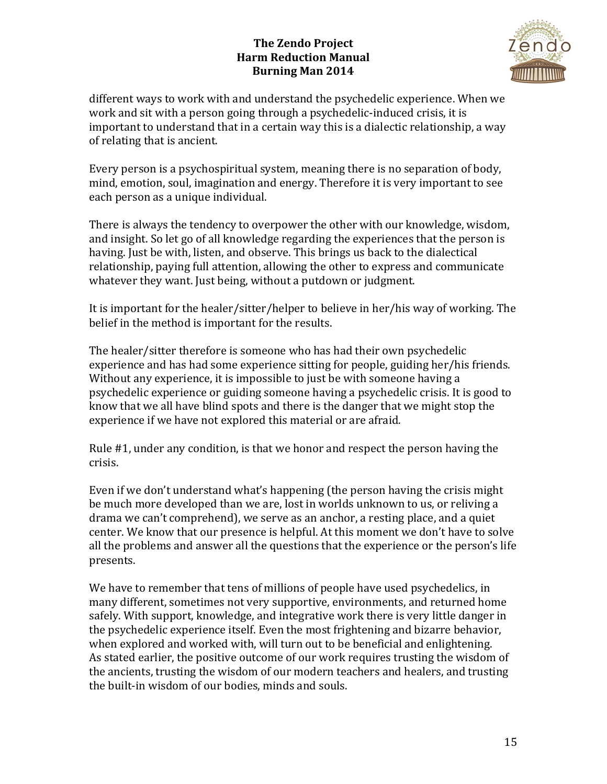

different ways to work with and understand the psychedelic experience. When we work and sit with a person going through a psychedelic-induced crisis, it is important to understand that in a certain way this is a dialectic relationship, a way of relating that is ancient.

Every person is a psychospiritual system, meaning there is no separation of body, mind, emotion, soul, imagination and energy. Therefore it is very important to see each person as a unique individual.

There is always the tendency to overpower the other with our knowledge, wisdom, and insight. So let go of all knowledge regarding the experiences that the person is having. Just be with, listen, and observe. This brings us back to the dialectical relationship, paying full attention, allowing the other to express and communicate whatever they want. Just being, without a putdown or judgment.

It is important for the healer/sitter/helper to believe in her/his way of working. The belief in the method is important for the results.

The healer/sitter therefore is someone who has had their own psychedelic experience and has had some experience sitting for people, guiding her/his friends. Without any experience, it is impossible to just be with someone having a psychedelic experience or guiding someone having a psychedelic crisis. It is good to know that we all have blind spots and there is the danger that we might stop the experience if we have not explored this material or are afraid.

Rule  $#1$ , under any condition, is that we honor and respect the person having the crisis.

Even if we don't understand what's happening (the person having the crisis might be much more developed than we are, lost in worlds unknown to us, or reliving a drama we can't comprehend), we serve as an anchor, a resting place, and a quiet center. We know that our presence is helpful. At this moment we don't have to solve all the problems and answer all the questions that the experience or the person's life presents.

We have to remember that tens of millions of people have used psychedelics, in many different, sometimes not very supportive, environments, and returned home safely. With support, knowledge, and integrative work there is very little danger in the psychedelic experience itself. Even the most frightening and bizarre behavior, when explored and worked with, will turn out to be beneficial and enlightening. As stated earlier, the positive outcome of our work requires trusting the wisdom of the ancients, trusting the wisdom of our modern teachers and healers, and trusting the built-in wisdom of our bodies, minds and souls.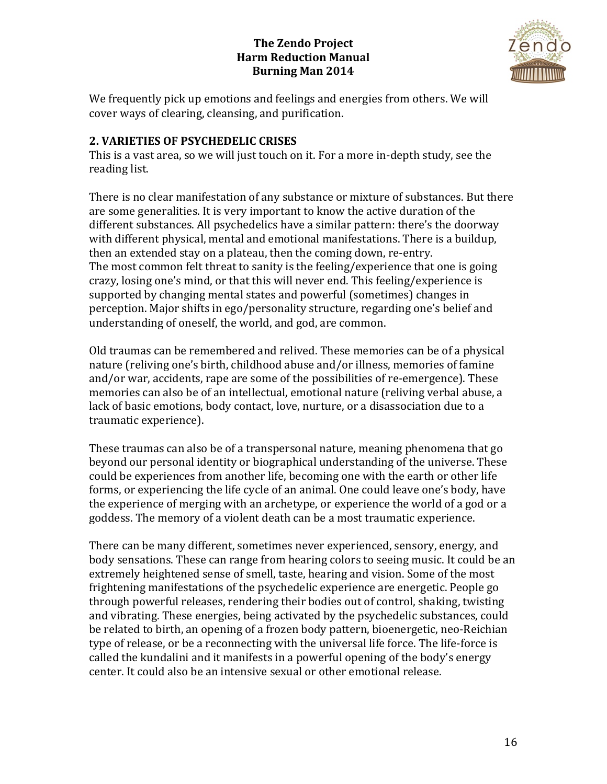

We frequently pick up emotions and feelings and energies from others. We will cover ways of clearing, cleansing, and purification.

# **2. VARIETIES OF PSYCHEDELIC CRISES**

This is a vast area, so we will just touch on it. For a more in-depth study, see the reading list.

There is no clear manifestation of any substance or mixture of substances. But there are some generalities. It is very important to know the active duration of the different substances. All psychedelics have a similar pattern: there's the doorway with different physical, mental and emotional manifestations. There is a buildup, then an extended stay on a plateau, then the coming down, re-entry. The most common felt threat to sanity is the feeling/experience that one is going crazy, losing one's mind, or that this will never end. This feeling/experience is supported by changing mental states and powerful (sometimes) changes in perception. Major shifts in ego/personality structure, regarding one's belief and understanding of oneself, the world, and god, are common.

Old traumas can be remembered and relived. These memories can be of a physical nature (reliving one's birth, childhood abuse and/or illness, memories of famine and/or war, accidents, rape are some of the possibilities of re-emergence). These memories can also be of an intellectual, emotional nature (reliving verbal abuse, a lack of basic emotions, body contact, love, nurture, or a disassociation due to a traumatic experience).

These traumas can also be of a transpersonal nature, meaning phenomena that go beyond our personal identity or biographical understanding of the universe. These could be experiences from another life, becoming one with the earth or other life forms, or experiencing the life cycle of an animal. One could leave one's body, have the experience of merging with an archetype, or experience the world of a god or a goddess. The memory of a violent death can be a most traumatic experience.

There can be many different, sometimes never experienced, sensory, energy, and body sensations. These can range from hearing colors to seeing music. It could be an extremely heightened sense of smell, taste, hearing and vision. Some of the most frightening manifestations of the psychedelic experience are energetic. People go through powerful releases, rendering their bodies out of control, shaking, twisting and vibrating. These energies, being activated by the psychedelic substances, could be related to birth, an opening of a frozen body pattern, bioenergetic, neo-Reichian type of release, or be a reconnecting with the universal life force. The life-force is called the kundalini and it manifests in a powerful opening of the body's energy center. It could also be an intensive sexual or other emotional release.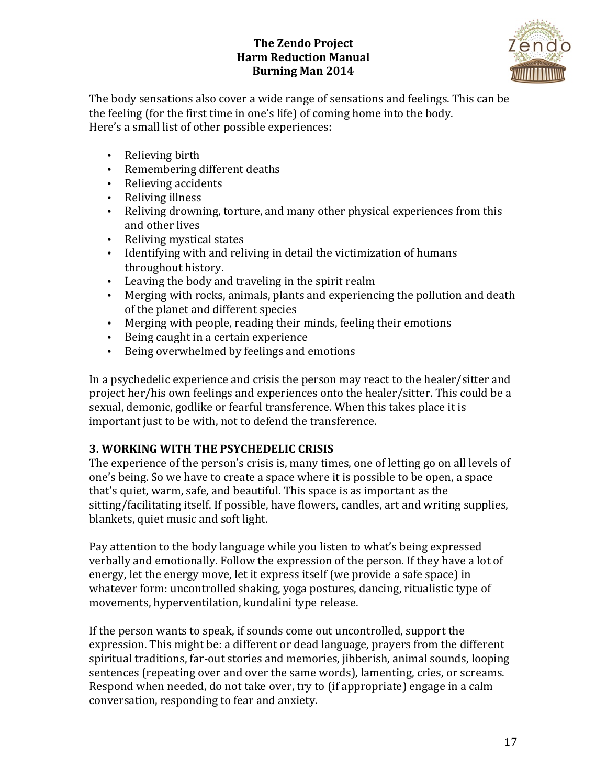

The body sensations also cover a wide range of sensations and feelings. This can be the feeling (for the first time in one's life) of coming home into the body. Here's a small list of other possible experiences:

- Relieving birth
- Remembering different deaths
- Relieving accidents
- Reliving illness
- Reliving drowning, torture, and many other physical experiences from this and other lives
- Reliving mystical states
- Identifying with and reliving in detail the victimization of humans throughout history.
- Leaving the body and traveling in the spirit realm
- Merging with rocks, animals, plants and experiencing the pollution and death of the planet and different species
- Merging with people, reading their minds, feeling their emotions
- Being caught in a certain experience
- Being overwhelmed by feelings and emotions

In a psychedelic experience and crisis the person may react to the healer/sitter and project her/his own feelings and experiences onto the healer/sitter. This could be a sexual, demonic, godlike or fearful transference. When this takes place it is important just to be with, not to defend the transference.

# **3. WORKING WITH THE PSYCHEDELIC CRISIS**

The experience of the person's crisis is, many times, one of letting go on all levels of one's being. So we have to create a space where it is possible to be open, a space that's quiet, warm, safe, and beautiful. This space is as important as the sitting/facilitating itself. If possible, have flowers, candles, art and writing supplies, blankets, quiet music and soft light.

Pay attention to the body language while you listen to what's being expressed verbally and emotionally. Follow the expression of the person. If they have a lot of energy, let the energy move, let it express itself (we provide a safe space) in whatever form: uncontrolled shaking, yoga postures, dancing, ritualistic type of movements, hyperventilation, kundalini type release.

If the person wants to speak, if sounds come out uncontrolled, support the expression. This might be: a different or dead language, prayers from the different spiritual traditions, far-out stories and memories, jibberish, animal sounds, looping sentences (repeating over and over the same words), lamenting, cries, or screams. Respond when needed, do not take over, try to (if appropriate) engage in a calm conversation, responding to fear and anxiety.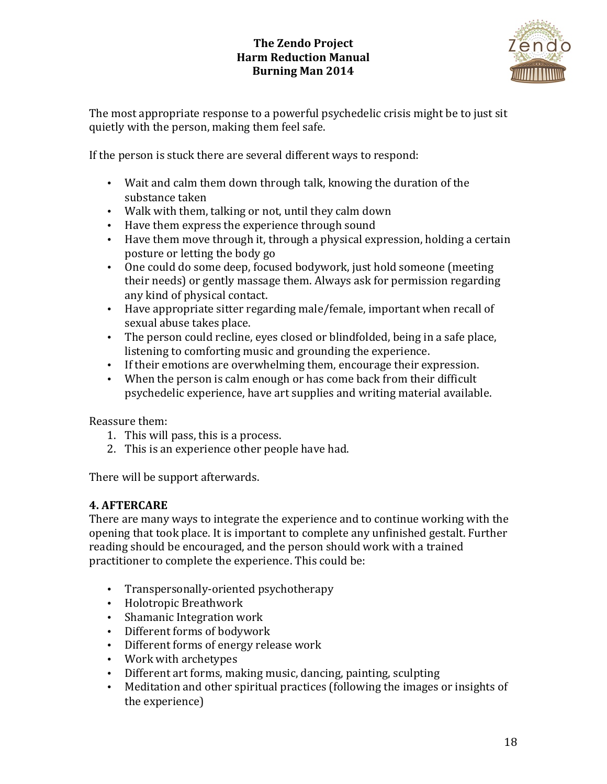

The most appropriate response to a powerful psychedelic crisis might be to just sit quietly with the person, making them feel safe.

If the person is stuck there are several different ways to respond:

- Wait and calm them down through talk, knowing the duration of the substance taken
- Walk with them, talking or not, until they calm down
- Have them express the experience through sound
- Have them move through it, through a physical expression, holding a certain posture or letting the body go
- One could do some deep, focused bodywork, just hold someone (meeting their needs) or gently massage them. Always ask for permission regarding any kind of physical contact.
- Have appropriate sitter regarding male/female, important when recall of sexual abuse takes place.
- The person could recline, eyes closed or blindfolded, being in a safe place, listening to comforting music and grounding the experience.
- If their emotions are overwhelming them, encourage their expression.
- When the person is calm enough or has come back from their difficult psychedelic experience, have art supplies and writing material available.

Reassure them:

- 1. This will pass, this is a process.
- 2. This is an experience other people have had.

There will be support afterwards.

# **4. AFTERCARE**

There are many ways to integrate the experience and to continue working with the opening that took place. It is important to complete any unfinished gestalt. Further reading should be encouraged, and the person should work with a trained practitioner to complete the experience. This could be:

- Transpersonally-oriented psychotherapy
- Holotropic Breathwork
- Shamanic Integration work
- Different forms of bodywork
- Different forms of energy release work
- Work with archetypes
- Different art forms, making music, dancing, painting, sculpting
- Meditation and other spiritual practices (following the images or insights of the experience)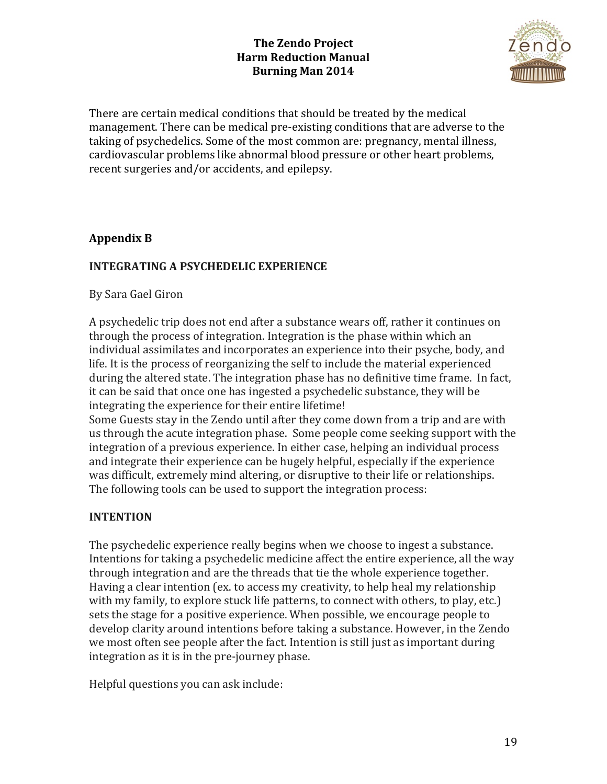

There are certain medical conditions that should be treated by the medical management. There can be medical pre-existing conditions that are adverse to the taking of psychedelics. Some of the most common are: pregnancy, mental illness, cardiovascular problems like abnormal blood pressure or other heart problems, recent surgeries and/or accidents, and epilepsy.

# **Appendix B**

# **INTEGRATING A PSYCHEDELIC EXPERIENCE**

By Sara Gael Giron

A psychedelic trip does not end after a substance wears off, rather it continues on through the process of integration. Integration is the phase within which an individual assimilates and incorporates an experience into their psyche, body, and life. It is the process of reorganizing the self to include the material experienced during the altered state. The integration phase has no definitive time frame. In fact, it can be said that once one has ingested a psychedelic substance, they will be integrating the experience for their entire lifetime!

Some Guests stay in the Zendo until after they come down from a trip and are with us through the acute integration phase. Some people come seeking support with the integration of a previous experience. In either case, helping an individual process and integrate their experience can be hugely helpful, especially if the experience was difficult, extremely mind altering, or disruptive to their life or relationships. The following tools can be used to support the integration process:

## **INTENTION**

The psychedelic experience really begins when we choose to ingest a substance. Intentions for taking a psychedelic medicine affect the entire experience, all the way through integration and are the threads that tie the whole experience together. Having a clear intention (ex. to access my creativity, to help heal my relationship with my family, to explore stuck life patterns, to connect with others, to play, etc.) sets the stage for a positive experience. When possible, we encourage people to develop clarity around intentions before taking a substance. However, in the Zendo we most often see people after the fact. Intention is still just as important during integration as it is in the pre-journey phase.

Helpful questions you can ask include: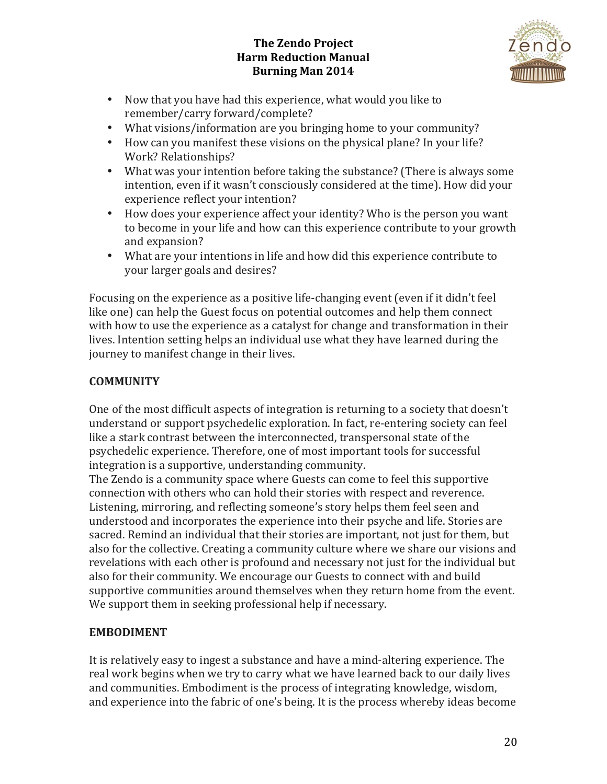

- Now that you have had this experience, what would you like to remember/carry forward/complete?
- What visions/information are you bringing home to your community?
- How can you manifest these visions on the physical plane? In your life? Work? Relationships?
- What was your intention before taking the substance? (There is always some intention, even if it wasn't consciously considered at the time). How did your experience reflect your intention?
- How does your experience affect your identity? Who is the person you want to become in your life and how can this experience contribute to your growth and expansion?
- What are your intentions in life and how did this experience contribute to your larger goals and desires?

Focusing on the experience as a positive life-changing event (even if it didn't feel like one) can help the Guest focus on potential outcomes and help them connect with how to use the experience as a catalyst for change and transformation in their lives. Intention setting helps an individual use what they have learned during the journey to manifest change in their lives.

# **COMMUNITY**

One of the most difficult aspects of integration is returning to a society that doesn't understand or support psychedelic exploration. In fact, re-entering society can feel like a stark contrast between the interconnected, transpersonal state of the psychedelic experience. Therefore, one of most important tools for successful integration is a supportive, understanding community.

The Zendo is a community space where Guests can come to feel this supportive connection with others who can hold their stories with respect and reverence. Listening, mirroring, and reflecting someone's story helps them feel seen and understood and incorporates the experience into their psyche and life. Stories are sacred. Remind an individual that their stories are important, not just for them, but also for the collective. Creating a community culture where we share our visions and revelations with each other is profound and necessary not just for the individual but also for their community. We encourage our Guests to connect with and build supportive communities around themselves when they return home from the event. We support them in seeking professional help if necessary.

# **EMBODIMENT**

It is relatively easy to ingest a substance and have a mind-altering experience. The real work begins when we try to carry what we have learned back to our daily lives and communities. Embodiment is the process of integrating knowledge, wisdom, and experience into the fabric of one's being. It is the process whereby ideas become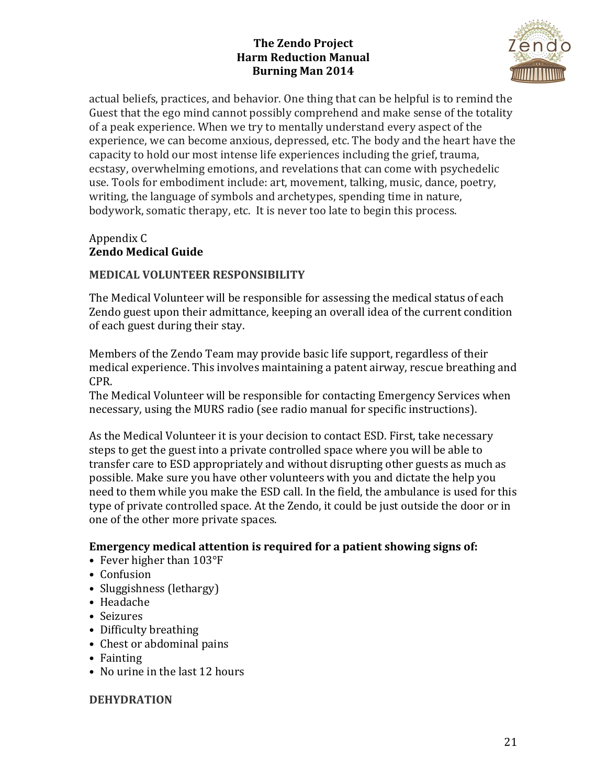

actual beliefs, practices, and behavior. One thing that can be helpful is to remind the Guest that the ego mind cannot possibly comprehend and make sense of the totality of a peak experience. When we try to mentally understand every aspect of the experience, we can become anxious, depressed, etc. The body and the heart have the capacity to hold our most intense life experiences including the grief, trauma, ecstasy, overwhelming emotions, and revelations that can come with psychedelic use. Tools for embodiment include: art, movement, talking, music, dance, poetry, writing, the language of symbols and archetypes, spending time in nature, bodywork, somatic therapy, etc. It is never too late to begin this process.

## Appendix C **Zendo Medical Guide**

## **MEDICAL VOLUNTEER RESPONSIBILITY**

The Medical Volunteer will be responsible for assessing the medical status of each Zendo guest upon their admittance, keeping an overall idea of the current condition of each guest during their stay.

Members of the Zendo Team may provide basic life support, regardless of their medical experience. This involves maintaining a patent airway, rescue breathing and CPR. 

The Medical Volunteer will be responsible for contacting Emergency Services when necessary, using the MURS radio (see radio manual for specific instructions).

As the Medical Volunteer it is your decision to contact ESD. First, take necessary steps to get the guest into a private controlled space where you will be able to transfer care to ESD appropriately and without disrupting other guests as much as possible. Make sure you have other volunteers with you and dictate the help you need to them while you make the ESD call. In the field, the ambulance is used for this type of private controlled space. At the Zendo, it could be just outside the door or in one of the other more private spaces.

## **Emergency medical attention is required for a patient showing signs of:**

- Fever higher than  $103^{\circ}F$
- Confusion
- Sluggishness (lethargy)
- Headache
- Seizures
- Difficulty breathing
- Chest or abdominal pains
- Fainting
- No urine in the last 12 hours

#### **DEHYDRATION**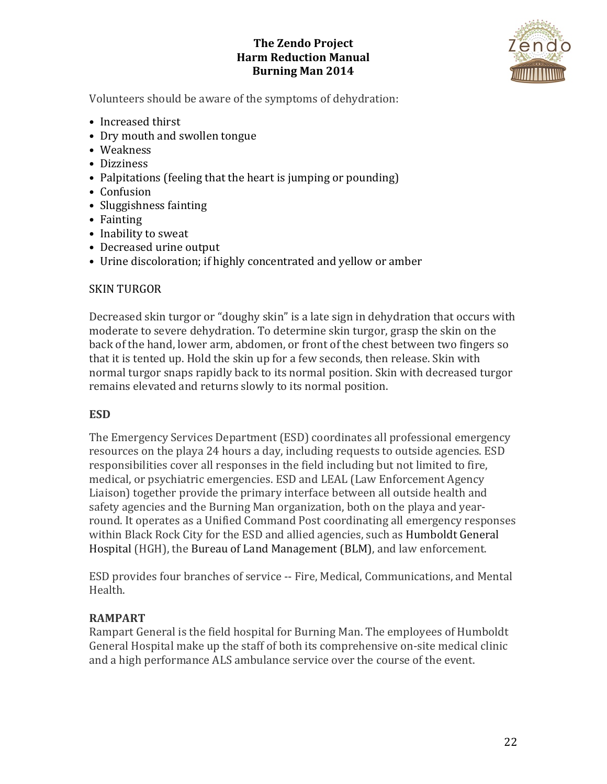

Volunteers should be aware of the symptoms of dehydration:

- Increased thirst
- Dry mouth and swollen tongue
- Weakness
- Dizziness
- Palpitations (feeling that the heart is jumping or pounding)
- Confusion
- Sluggishness fainting
- Fainting
- Inability to sweat
- Decreased urine output
- Urine discoloration; if highly concentrated and yellow or amber

#### **SKIN TURGOR**

Decreased skin turgor or "doughy skin" is a late sign in dehydration that occurs with moderate to severe dehydration. To determine skin turgor, grasp the skin on the back of the hand, lower arm, abdomen, or front of the chest between two fingers so that it is tented up. Hold the skin up for a few seconds, then release. Skin with normal turgor snaps rapidly back to its normal position. Skin with decreased turgor remains elevated and returns slowly to its normal position.

#### **ESD**

The Emergency Services Department (ESD) coordinates all professional emergency resources on the playa 24 hours a day, including requests to outside agencies. ESD responsibilities cover all responses in the field including but not limited to fire, medical, or psychiatric emergencies. ESD and LEAL (Law Enforcement Agency Liaison) together provide the primary interface between all outside health and safety agencies and the Burning Man organization, both on the playa and yearround. It operates as a Unified Command Post coordinating all emergency responses within Black Rock City for the ESD and allied agencies, such as Humboldt General Hospital (HGH), the Bureau of Land Management (BLM), and law enforcement.

ESD provides four branches of service -- Fire, Medical, Communications, and Mental Health.

## **RAMPART**

Rampart General is the field hospital for Burning Man. The employees of Humboldt General Hospital make up the staff of both its comprehensive on-site medical clinic and a high performance ALS ambulance service over the course of the event.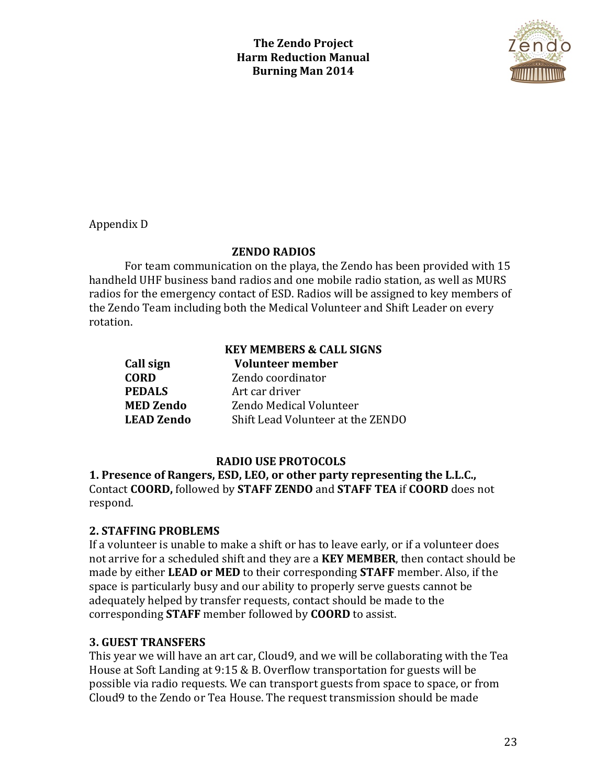

Appendix D 

### **ZENDO RADIOS**

For team communication on the playa, the Zendo has been provided with 15 handheld UHF business band radios and one mobile radio station, as well as MURS radios for the emergency contact of ESD. Radios will be assigned to key members of the Zendo Team including both the Medical Volunteer and Shift Leader on every rotation. 

|                   | <b>KEY MEMBERS &amp; CALL SIGNS</b> |
|-------------------|-------------------------------------|
| Call sign         | <b>Volunteer member</b>             |
| <b>CORD</b>       | Zendo coordinator                   |
| <b>PEDALS</b>     | Art car driver                      |
| <b>MED Zendo</b>  | Zendo Medical Volunteer             |
| <b>LEAD Zendo</b> | Shift Lead Volunteer at the ZENDO   |

## **RADIO USE PROTOCOLS**

**1. Presence of Rangers, ESD, LEO, or other party representing the L.L.C.,** Contact **COORD,** followed by **STAFF ZENDO** and **STAFF TEA** if **COORD** does not respond.

## **2. STAFFING PROBLEMS**

If a volunteer is unable to make a shift or has to leave early, or if a volunteer does not arrive for a scheduled shift and they are a **KEY MEMBER**, then contact should be made by either **LEAD or MED** to their corresponding **STAFF** member. Also, if the space is particularly busy and our ability to properly serve guests cannot be adequately helped by transfer requests, contact should be made to the corresponding **STAFF** member followed by **COORD** to assist.

## **3. GUEST TRANSFERS**

This year we will have an art car, Cloud9, and we will be collaborating with the Tea House at Soft Landing at  $9:15 \& B$ . Overflow transportation for guests will be possible via radio requests. We can transport guests from space to space, or from Cloud9 to the Zendo or Tea House. The request transmission should be made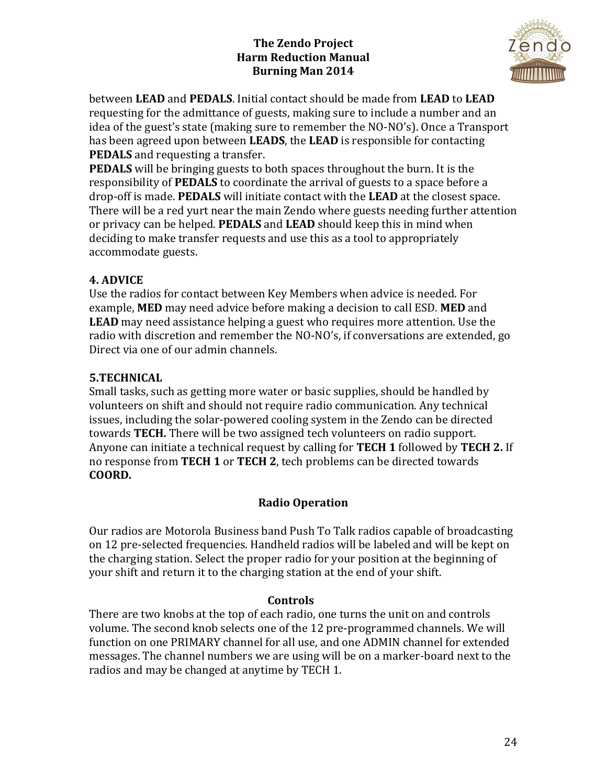

between **LEAD** and **PEDALS**. Initial contact should be made from **LEAD** to **LEAD** requesting for the admittance of guests, making sure to include a number and an idea of the guest's state (making sure to remember the NO-NO's). Once a Transport has been agreed upon between **LEADS**, the **LEAD** is responsible for contacting **PEDALS** and requesting a transfer.

**PEDALS** will be bringing guests to both spaces throughout the burn. It is the responsibility of **PEDALS** to coordinate the arrival of guests to a space before a drop-off is made. **PEDALS** will initiate contact with the LEAD at the closest space. There will be a red yurt near the main Zendo where guests needing further attention or privacy can be helped. **PEDALS** and LEAD should keep this in mind when deciding to make transfer requests and use this as a tool to appropriately accommodate guests.

# **4. ADVICE**

Use the radios for contact between Key Members when advice is needed. For example, **MED** may need advice before making a decision to call ESD. **MED** and **LEAD** may need assistance helping a guest who requires more attention. Use the radio with discretion and remember the NO-NO's, if conversations are extended, go Direct via one of our admin channels.

# **5.TECHNICAL**

Small tasks, such as getting more water or basic supplies, should be handled by volunteers on shift and should not require radio communication. Any technical issues, including the solar-powered cooling system in the Zendo can be directed towards **TECH**. There will be two assigned tech volunteers on radio support. Anyone can initiate a technical request by calling for **TECH 1** followed by **TECH 2.** If no response from **TECH 1** or **TECH 2**, tech problems can be directed towards **COORD.**

# **Radio Operation**

Our radios are Motorola Business band Push To Talk radios capable of broadcasting on 12 pre-selected frequencies. Handheld radios will be labeled and will be kept on the charging station. Select the proper radio for your position at the beginning of your shift and return it to the charging station at the end of your shift.

## **Controls**

There are two knobs at the top of each radio, one turns the unit on and controls volume. The second knob selects one of the 12 pre-programmed channels. We will function on one PRIMARY channel for all use, and one ADMIN channel for extended messages. The channel numbers we are using will be on a marker-board next to the radios and may be changed at anytime by TECH 1.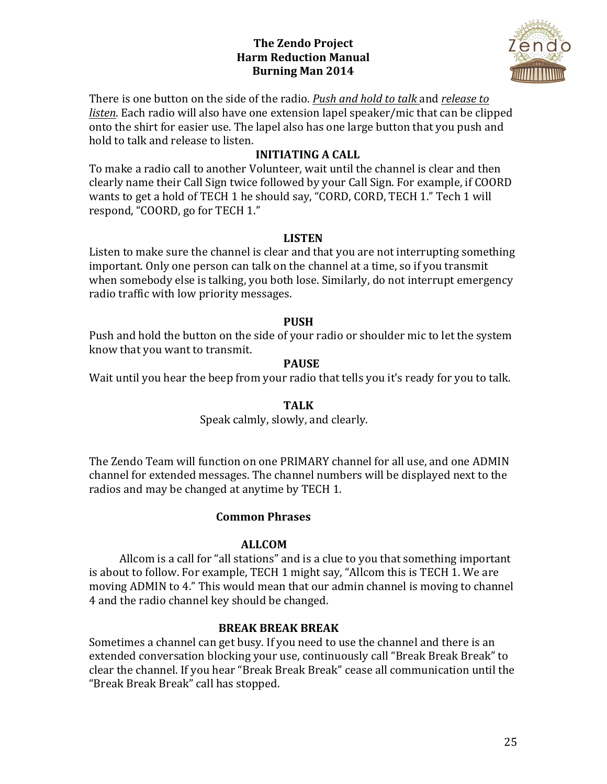

There is one button on the side of the radio. Push and hold to talk and *release* to *listen*. Each radio will also have one extension lapel speaker/mic that can be clipped onto the shirt for easier use. The lapel also has one large button that you push and hold to talk and release to listen.

# **INITIATING A CALL**

To make a radio call to another Volunteer, wait until the channel is clear and then clearly name their Call Sign twice followed by your Call Sign. For example, if COORD wants to get a hold of TECH 1 he should say, "CORD, CORD, TECH 1." Tech 1 will respond, "COORD, go for TECH 1."

### **LISTEN**

Listen to make sure the channel is clear and that you are not interrupting something important. Only one person can talk on the channel at a time, so if you transmit when somebody else is talking, you both lose. Similarly, do not interrupt emergency radio traffic with low priority messages.

#### **PUSH**

Push and hold the button on the side of your radio or shoulder mic to let the system know that you want to transmit.

### **PAUSE**

Wait until you hear the beep from your radio that tells you it's ready for you to talk.

## **TALK**

#### Speak calmly, slowly, and clearly.

The Zendo Team will function on one PRIMARY channel for all use, and one ADMIN channel for extended messages. The channel numbers will be displayed next to the radios and may be changed at anytime by TECH 1.

## **Common Phrases**

## **ALLCOM**

Allcom is a call for "all stations" and is a clue to you that something important is about to follow. For example, TECH 1 might say, "Allcom this is TECH 1. We are moving ADMIN to 4." This would mean that our admin channel is moving to channel 4 and the radio channel key should be changed.

## **BREAK BREAK BREAK**

Sometimes a channel can get busy. If you need to use the channel and there is an extended conversation blocking your use, continuously call "Break Break Break" to clear the channel. If you hear "Break Break Break" cease all communication until the "Break Break Break" call has stopped.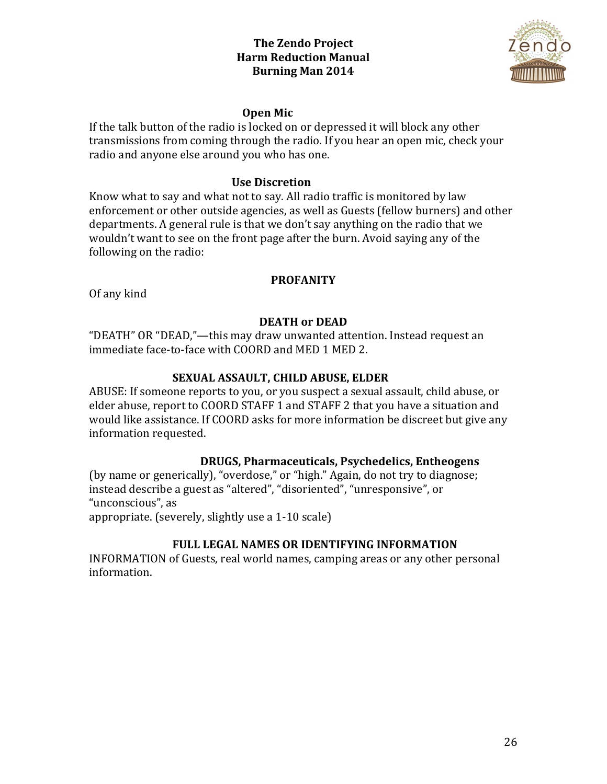

#### **Open Mic**

If the talk button of the radio is locked on or depressed it will block any other transmissions from coming through the radio. If you hear an open mic, check your radio and anyone else around you who has one.

#### **Use Discretion**

Know what to say and what not to say. All radio traffic is monitored by law enforcement or other outside agencies, as well as Guests (fellow burners) and other departments. A general rule is that we don't say anything on the radio that we wouldn't want to see on the front page after the burn. Avoid saying any of the following on the radio:

#### **PROFANITY**

Of any kind

### **DEATH** or **DEAD**

"DEATH" OR "DEAD,"—this may draw unwanted attention. Instead request an immediate face-to-face with COORD and MED 1 MED 2.

#### **SEXUAL ASSAULT, CHILD ABUSE, ELDER**

ABUSE: If someone reports to you, or you suspect a sexual assault, child abuse, or elder abuse, report to COORD STAFF 1 and STAFF 2 that you have a situation and would like assistance. If COORD asks for more information be discreet but give any information requested.

#### **DRUGS, Pharmaceuticals, Psychedelics, Entheogens**

(by name or generically), "overdose," or "high." Again, do not try to diagnose; instead describe a guest as "altered", "disoriented", "unresponsive", or "unconscious", as appropriate. (severely, slightly use a  $1-10$  scale)

**FULL LEGAL NAMES OR IDENTIFYING INFORMATION** 

INFORMATION of Guests, real world names, camping areas or any other personal information.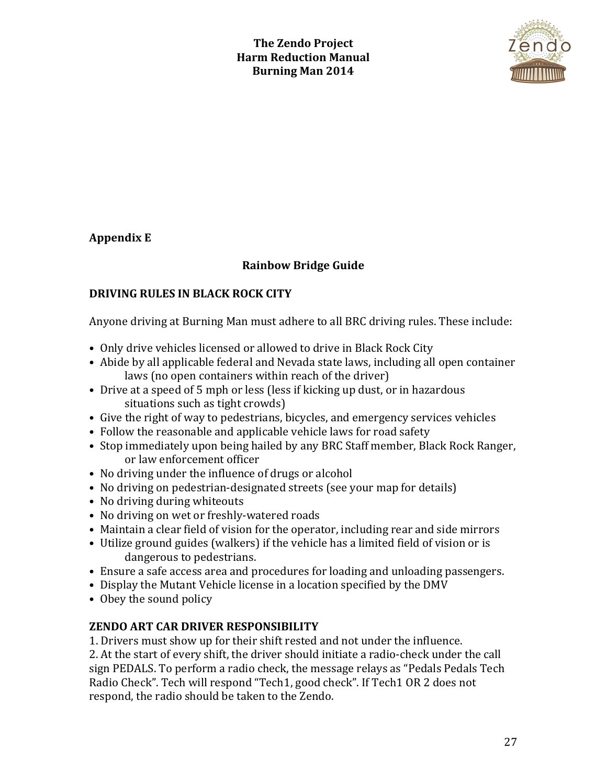

# **Appendix E**

# **Rainbow Bridge Guide**

# **DRIVING RULES IN BLACK ROCK CITY**

Anyone driving at Burning Man must adhere to all BRC driving rules. These include:

- Only drive vehicles licensed or allowed to drive in Black Rock City
- Abide by all applicable federal and Nevada state laws, including all open container laws (no open containers within reach of the driver)
- Drive at a speed of 5 mph or less (less if kicking up dust, or in hazardous situations such as tight crowds)
- Give the right of way to pedestrians, bicycles, and emergency services vehicles
- Follow the reasonable and applicable vehicle laws for road safety
- Stop immediately upon being hailed by any BRC Staff member, Black Rock Ranger, or law enforcement officer
- No driving under the influence of drugs or alcohol
- No driving on pedestrian-designated streets (see your map for details)
- No driving during whiteouts
- No driving on wet or freshly-watered roads
- Maintain a clear field of vision for the operator, including rear and side mirrors
- Utilize ground guides (walkers) if the vehicle has a limited field of vision or is dangerous to pedestrians.
- Ensure a safe access area and procedures for loading and unloading passengers.
- Display the Mutant Vehicle license in a location specified by the DMV
- Obey the sound policy

# **ZENDO ART CAR DRIVER RESPONSIBILITY**

1. Drivers must show up for their shift rested and not under the influence.

2. At the start of every shift, the driver should initiate a radio-check under the call sign PEDALS. To perform a radio check, the message relays as "Pedals Pedals Tech Radio Check". Tech will respond "Tech1, good check". If Tech1 OR 2 does not respond, the radio should be taken to the Zendo.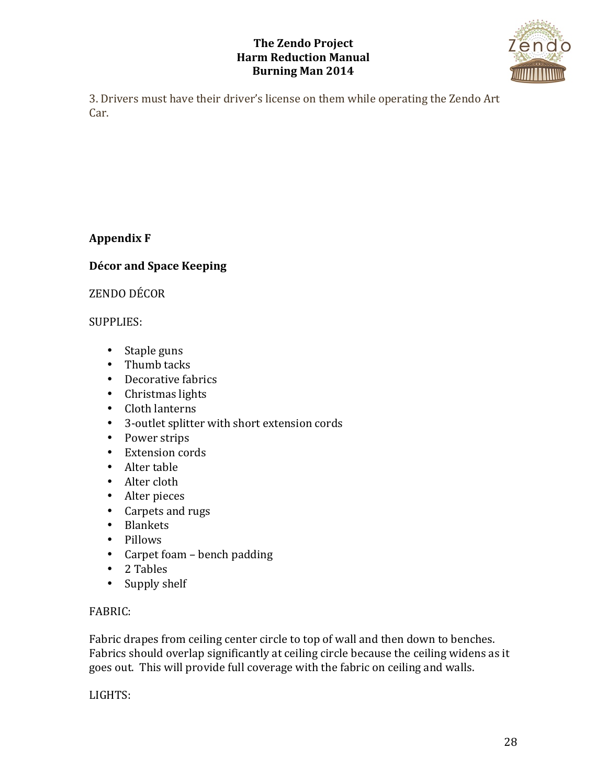

3. Drivers must have their driver's license on them while operating the Zendo Art Car.

# **Appendix F**

# **Décor and Space Keeping**

ZENDO DÉCOR 

## SUPPLIES:

- Staple guns
- Thumb tacks
- Decorative fabrics
- Christmas lights
- Cloth lanterns
- 3-outlet splitter with short extension cords
- Power strips
- Extension cords
- Alter table
- Alter cloth
- Alter pieces
- Carpets and rugs
- Blankets
- Pillows
- $\bullet$  Carpet foam bench padding
- 2 Tables
- Supply shelf

## FABRIC:

Fabric drapes from ceiling center circle to top of wall and then down to benches. Fabrics should overlap significantly at ceiling circle because the ceiling widens as it goes out. This will provide full coverage with the fabric on ceiling and walls.

LIGHTS: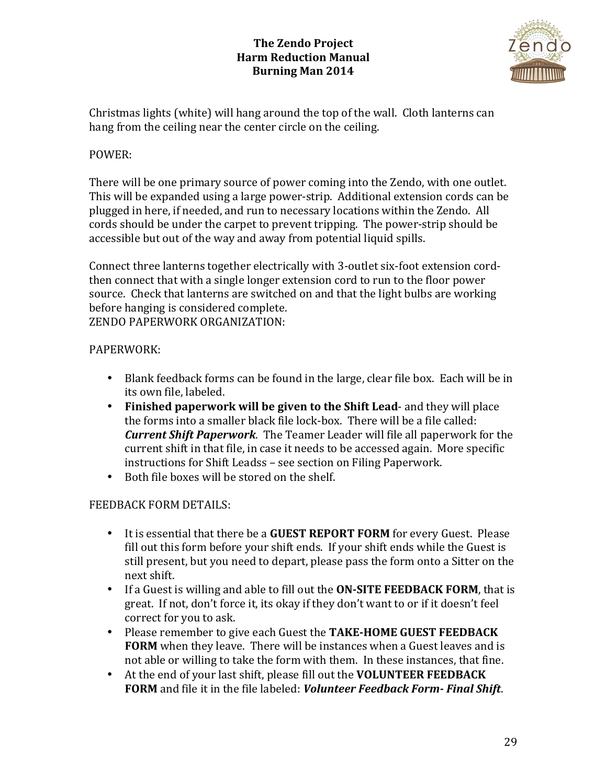

Christmas lights (white) will hang around the top of the wall. Cloth lanterns can hang from the ceiling near the center circle on the ceiling.

## POWER:

There will be one primary source of power coming into the Zendo, with one outlet. This will be expanded using a large power-strip. Additional extension cords can be plugged in here, if needed, and run to necessary locations within the Zendo. All cords should be under the carpet to prevent tripping. The power-strip should be accessible but out of the way and away from potential liquid spills.

Connect three lanterns together electrically with 3-outlet six-foot extension cordthen connect that with a single longer extension cord to run to the floor power source. Check that lanterns are switched on and that the light bulbs are working before hanging is considered complete. ZENDO PAPERWORK ORGANIZATION:

## PAPERWORK:

- Blank feedback forms can be found in the large, clear file box. Each will be in its own file, labeled.
- Finished paperwork will be given to the Shift Lead- and they will place the forms into a smaller black file lock-box. There will be a file called: *Current Shift Paperwork*. The Teamer Leader will file all paperwork for the current shift in that file, in case it needs to be accessed again. More specific instructions for Shift Leadss - see section on Filing Paperwork.
- Both file boxes will be stored on the shelf.

## FEEDBACK FORM DETAILS:

- It is essential that there be a **GUEST REPORT FORM** for every Guest. Please fill out this form before your shift ends. If your shift ends while the Guest is still present, but you need to depart, please pass the form onto a Sitter on the next shift.
- If a Guest is willing and able to fill out the **ON-SITE FEEDBACK FORM**, that is great. If not, don't force it, its okay if they don't want to or if it doesn't feel correct for you to ask.
- Please remember to give each Guest the TAKE-HOME GUEST FEEDBACK **FORM** when they leave. There will be instances when a Guest leaves and is not able or willing to take the form with them. In these instances, that fine.
- At the end of your last shift, please fill out the **VOLUNTEER FEEDBACK** FORM and file it in the file labeled: *Volunteer Feedback Form-Final Shift*.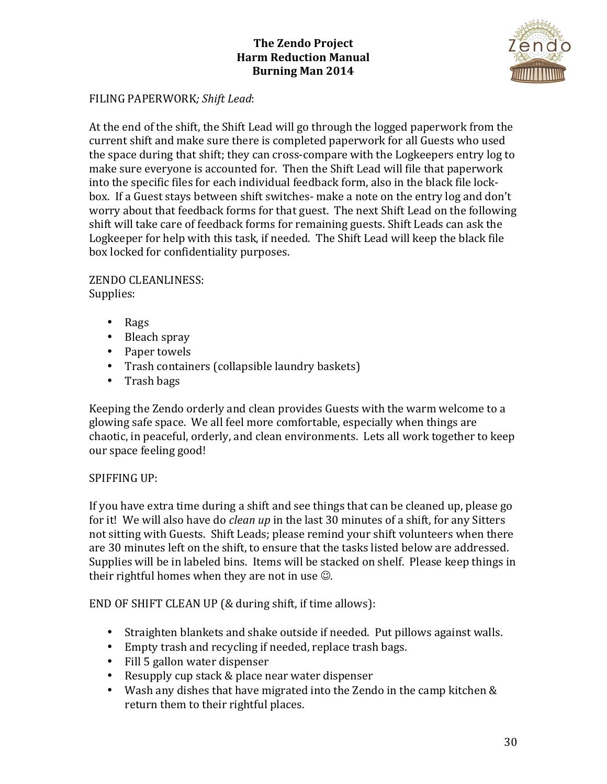

### FILING PAPERWORK; Shift Lead:

At the end of the shift, the Shift Lead will go through the logged paperwork from the current shift and make sure there is completed paperwork for all Guests who used the space during that shift; they can cross-compare with the Logkeepers entry log to make sure everyone is accounted for. Then the Shift Lead will file that paperwork into the specific files for each individual feedback form, also in the black file lockbox. If a Guest stays between shift switches- make a note on the entry log and don't worry about that feedback forms for that guest. The next Shift Lead on the following shift will take care of feedback forms for remaining guests. Shift Leads can ask the Logkeeper for help with this task, if needed. The Shift Lead will keep the black file box locked for confidentiality purposes.

ZENDO CLEANLINESS: Supplies: 

- Rags
- Bleach spray
- Paper towels
- Trash containers (collapsible laundry baskets)
- Trash bags

Keeping the Zendo orderly and clean provides Guests with the warm welcome to a glowing safe space. We all feel more comfortable, especially when things are chaotic, in peaceful, orderly, and clean environments. Lets all work together to keep our space feeling good!

#### SPIFFING UP:

If you have extra time during a shift and see things that can be cleaned up, please go for it! We will also have do *clean up* in the last 30 minutes of a shift, for any Sitters not sitting with Guests. Shift Leads; please remind your shift volunteers when there are 30 minutes left on the shift, to ensure that the tasks listed below are addressed. Supplies will be in labeled bins. Items will be stacked on shelf. Please keep things in their rightful homes when they are not in use  $\odot$ .

END OF SHIFT CLEAN UP (& during shift, if time allows):

- Straighten blankets and shake outside if needed. Put pillows against walls.
- Empty trash and recycling if needed, replace trash bags.
- Fill 5 gallon water dispenser
- Resupply cup stack & place near water dispenser
- Wash any dishes that have migrated into the Zendo in the camp kitchen  $&$ return them to their rightful places.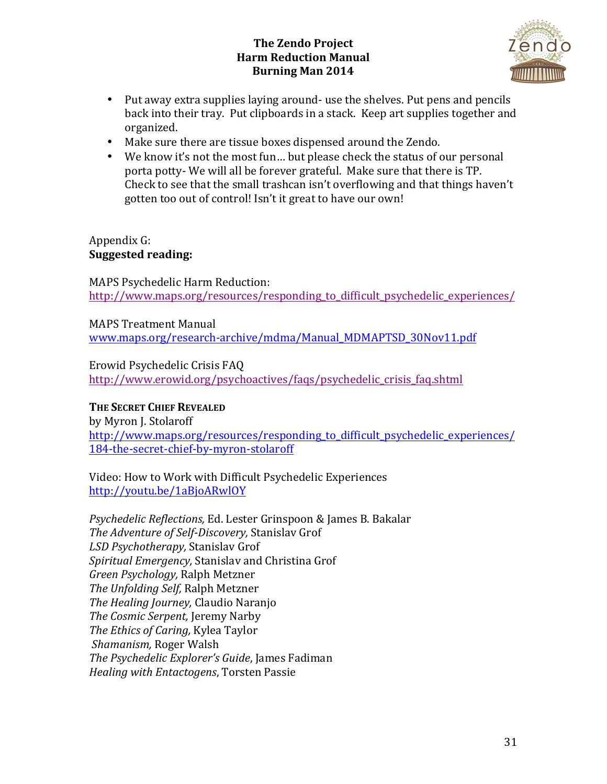

- Put away extra supplies laying around- use the shelves. Put pens and pencils back into their tray. Put clipboards in a stack. Keep art supplies together and organized.
- Make sure there are tissue boxes dispensed around the Zendo.
- We know it's not the most fun... but please check the status of our personal porta potty- We will all be forever grateful. Make sure that there is TP. Check to see that the small trashcan isn't overflowing and that things haven't gotten too out of control! Isn't it great to have our own!

### Appendix G: **Suggested reading:**

MAPS Psychedelic Harm Reduction: http://www.maps.org/resources/responding to difficult psychedelic experiences/

**MAPS Treatment Manual** www.maps.org/research-archive/mdma/Manual\_MDMAPTSD\_30Nov11.pdf

Erowid Psychedelic Crisis FAO http://www.erowid.org/psychoactives/faqs/psychedelic\_crisis\_faq.shtml

# **THE SECRET CHIEF REVEALED**

by Myron J. Stolaroff http://www.maps.org/resources/responding\_to\_difficult\_psychedelic\_experiences/ 184-the-secret-chief-by-myron-stolaroff

Video: How to Work with Difficult Psychedelic Experiences http://youtu.be/1aBjoARwlOY

*Psychedelic Reflections,* Ed. Lester Grinspoon & James B. Bakalar The Adventure of Self-Discovery, Stanislav Grof *LSD Psychotherapy,* Stanislav Grof Spiritual *Emergency*, Stanislav and Christina Grof *Green Psychology,* Ralph Metzner *The Unfolding Self, Ralph Metzner The Healing Journey, Claudio Naranjo The Cosmic Serpent, Jeremy Narby The Ethics of Caring, Kylea Taylor Shamanism,* Roger Walsh The Psychedelic Explorer's Guide, James Fadiman *Healing with Entactogens*, Torsten Passie